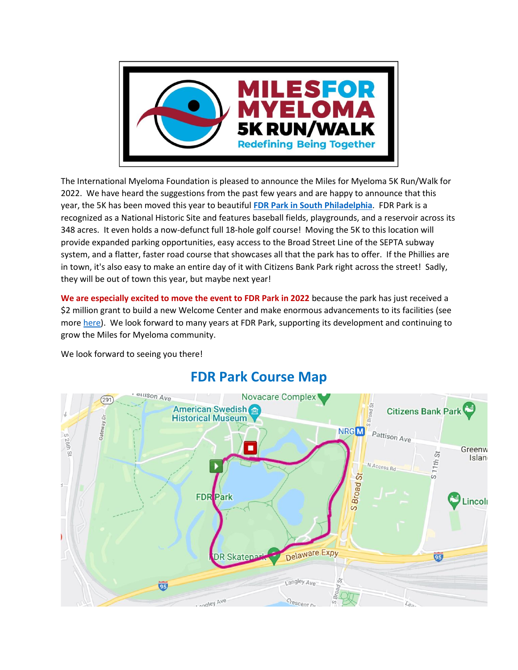

The International Myeloma Foundation is pleased to announce the Miles for Myeloma 5K Run/Walk for 2022. We have heard the suggestions from the past few years and are happy to announce that this year, the 5K has been moved this year to beautiful **[FDR Park in South Philadelphia](https://myphillypark.org/explore/parks/fdr-park/)**. FDR Park is a recognized as a National Historic Site and features baseball fields, playgrounds, and a reservoir across its 348 acres. It even holds a now-defunct full 18-hole golf course! Moving the 5K to this location will provide expanded parking opportunities, easy access to the Broad Street Line of the SEPTA subway system, and a flatter, faster road course that showcases all that the park has to offer. If the Phillies are in town, it's also easy to make an entire day of it with Citizens Bank Park right across the street! Sadly, they will be out of town this year, but maybe next year!

**We are especially excited to move the event to FDR Park in 2022** because the park has just received a \$2 million grant to build a new Welcome Center and make enormous advancements to its facilities (see more [here\)](https://myphillypark.org/fdr-racp-funding/). We look forward to many years at FDR Park, supporting its development and continuing to grow the Miles for Myeloma community.

We look forward to seeing you there!



## **FDR Park Course Map**